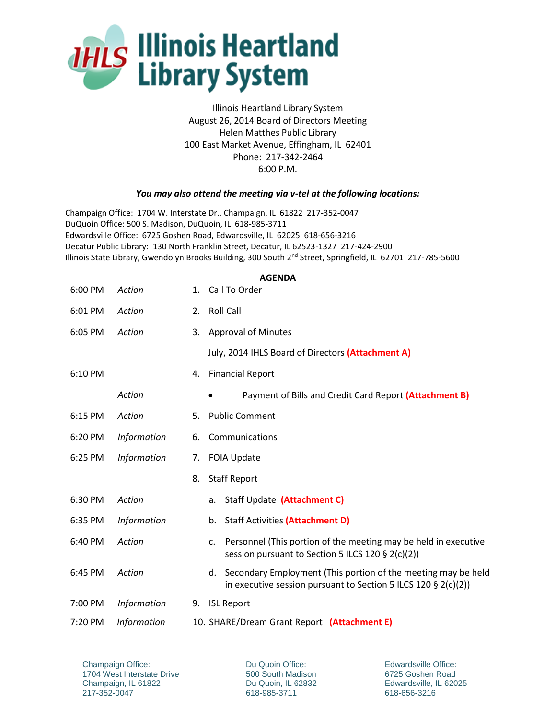

Illinois Heartland Library System August 26, 2014 Board of Directors Meeting Helen Matthes Public Library 100 East Market Avenue, Effingham, IL 62401 Phone: 217-342-2464 6:00 P.M.

## *You may also attend the meeting via v-tel at the following locations:*

Champaign Office: 1704 W. Interstate Dr., Champaign, IL 61822 217-352-0047 DuQuoin Office: 500 S. Madison, DuQuoin, IL 618-985-3711 Edwardsville Office: 6725 Goshen Road, Edwardsville, IL 62025 618-656-3216 Decatur Public Library: 130 North Franklin Street, Decatur, IL 62523-1327 217-424-2900 Illinois State Library, Gwendolyn Brooks Building, 300 South 2<sup>nd</sup> Street, Springfield, IL 62701 217-785-5600

## **AGENDA**

| 6:00 PM | Action             | 1. | Call To Order                                                                                                                         |  |  |
|---------|--------------------|----|---------------------------------------------------------------------------------------------------------------------------------------|--|--|
| 6:01 PM | Action             | 2. | <b>Roll Call</b>                                                                                                                      |  |  |
| 6:05 PM | Action             | 3. | <b>Approval of Minutes</b>                                                                                                            |  |  |
|         |                    |    | July, 2014 IHLS Board of Directors (Attachment A)                                                                                     |  |  |
| 6:10 PM |                    | 4. | <b>Financial Report</b>                                                                                                               |  |  |
|         | Action             |    | Payment of Bills and Credit Card Report (Attachment B)                                                                                |  |  |
| 6:15 PM | Action             | 5. | <b>Public Comment</b>                                                                                                                 |  |  |
| 6:20 PM | <b>Information</b> | 6. | Communications                                                                                                                        |  |  |
| 6:25 PM | <b>Information</b> | 7. | <b>FOIA Update</b>                                                                                                                    |  |  |
|         |                    | 8. | <b>Staff Report</b>                                                                                                                   |  |  |
| 6:30 PM | Action             |    | Staff Update (Attachment C)<br>а.                                                                                                     |  |  |
| 6:35 PM | <b>Information</b> |    | <b>Staff Activities (Attachment D)</b><br>b.                                                                                          |  |  |
| 6:40 PM | Action             |    | Personnel (This portion of the meeting may be held in executive<br>$C_{\star}$<br>session pursuant to Section 5 ILCS 120 § 2(c)(2))   |  |  |
| 6:45 PM | Action             |    | Secondary Employment (This portion of the meeting may be held<br>d.<br>in executive session pursuant to Section 5 ILCS 120 § 2(c)(2)) |  |  |
| 7:00 PM | <b>Information</b> | 9. | <b>ISL Report</b>                                                                                                                     |  |  |
| 7:20 PM | <i>Information</i> |    | 10. SHARE/Dream Grant Report (Attachment E)                                                                                           |  |  |

Du Quoin Office: 500 South Madison Du Quoin, IL 62832 618-985-3711

Edwardsville Office: 6725 Goshen Road Edwardsville, IL 62025 618-656-3216